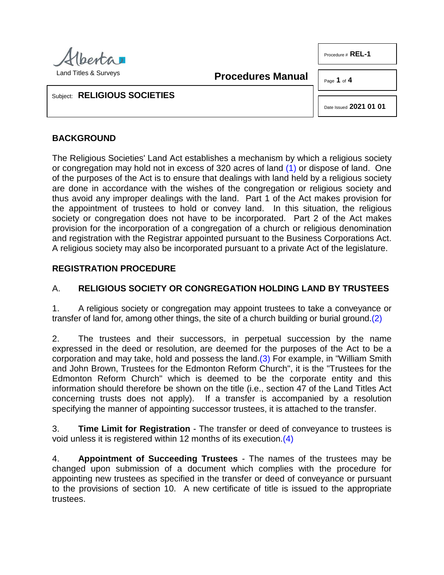

Procedure # **REL-1** 

**Procedures Manual**

Page **1** of **4**

Subject: **RELIGIOUS SOCIETIES**

<span id="page-0-1"></span><span id="page-0-0"></span>Date Issued **2021 01 01**

# **BACKGROUND**

The Religious Societies' Land Act establishes a mechanism by which a religious society or congregation may hold not in excess of 320 acres of land [\(1\)](#page-3-0) or dispose of land. One of the purposes of the Act is to ensure that dealings with land held by a religious society are done in accordance with the wishes of the congregation or religious society and thus avoid any improper dealings with the land. Part 1 of the Act makes provision for the appointment of trustees to hold or convey land. In this situation, the religious society or congregation does not have to be incorporated. Part 2 of the Act makes provision for the incorporation of a congregation of a church or religious denomination and registration with the Registrar appointed pursuant to the Business Corporations Act. A religious society may also be incorporated pursuant to a private Act of the legislature.

## **REGISTRATION PROCEDURE**

## A. **RELIGIOUS SOCIETY OR CONGREGATION HOLDING LAND BY TRUSTEES**

1. A religious society or congregation may appoint trustees to take a conveyance or transfer of land for, among other things, the site of a church building or burial ground[.\(2\)](#page-3-1)

<span id="page-0-2"></span>2. The trustees and their successors, in perpetual succession by the name expressed in the deed or resolution, are deemed for the purposes of the Act to be a corporation and may take, hold and possess the land. $(3)$  For example, in "William Smith and John Brown, Trustees for the Edmonton Reform Church", it is the "Trustees for the Edmonton Reform Church" which is deemed to be the corporate entity and this information should therefore be shown on the title (i.e., section 47 of the Land Titles Act concerning trusts does not apply). If a transfer is accompanied by a resolution specifying the manner of appointing successor trustees, it is attached to the transfer.

<span id="page-0-3"></span>3. **Time Limit for Registration** - The transfer or deed of conveyance to trustees is void unless it is registered within 12 months of its execution[.\(4\)](#page-3-3)

4. **Appointment of Succeeding Trustees** - The names of the trustees may be changed upon submission of a document which complies with the procedure for appointing new trustees as specified in the transfer or deed of conveyance or pursuant to the provisions of section 10. A new certificate of title is issued to the appropriate trustees.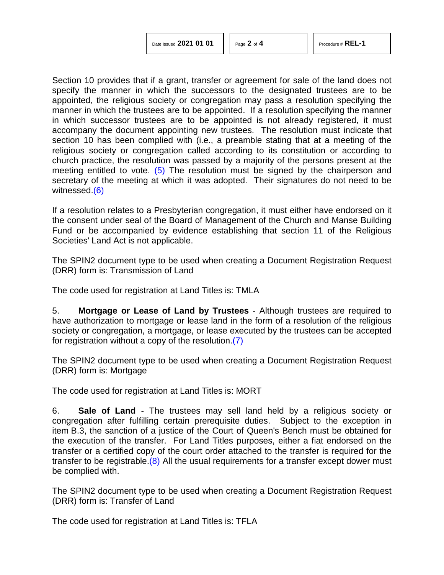| Date Issued 2021 01 01 |  |  |  |
|------------------------|--|--|--|
|------------------------|--|--|--|

Section 10 provides that if a grant, transfer or agreement for sale of the land does not specify the manner in which the successors to the designated trustees are to be appointed, the religious society or congregation may pass a resolution specifying the manner in which the trustees are to be appointed. If a resolution specifying the manner in which successor trustees are to be appointed is not already registered, it must accompany the document appointing new trustees. The resolution must indicate that section 10 has been complied with (i.e., a preamble stating that at a meeting of the religious society or congregation called according to its constitution or according to church practice, the resolution was passed by a majority of the persons present at the meeting entitled to vote. [\(5\)](#page-3-4) The resolution must be signed by the chairperson and secretary of the meeting at which it was adopted. Their signatures do not need to be witnessed[.\(6\)](#page-3-5)

<span id="page-1-1"></span><span id="page-1-0"></span>If a resolution relates to a Presbyterian congregation, it must either have endorsed on it the consent under seal of the Board of Management of the Church and Manse Building Fund or be accompanied by evidence establishing that section 11 of the Religious Societies' Land Act is not applicable.

The SPIN2 document type to be used when creating a Document Registration Request (DRR) form is: Transmission of Land

The code used for registration at Land Titles is: TMLA

5. **Mortgage or Lease of Land by Trustees** - Although trustees are required to have authorization to mortgage or lease land in the form of a resolution of the religious society or congregation, a mortgage, or lease executed by the trustees can be accepted for registration without a copy of the resolution[.\(7\)](#page-3-6)

<span id="page-1-2"></span>The SPIN2 document type to be used when creating a Document Registration Request (DRR) form is: Mortgage

The code used for registration at Land Titles is: MORT

6. **Sale of Land** - The trustees may sell land held by a religious society or congregation after fulfilling certain prerequisite duties. Subject to the exception in item B.3, the sanction of a justice of the Court of Queen's Bench must be obtained for the execution of the transfer. For Land Titles purposes, either a fiat endorsed on the transfer or a certified copy of the court order attached to the transfer is required for the transfer to be registrable. $(8)$  All the usual requirements for a transfer except dower must be complied with.

<span id="page-1-3"></span>The SPIN2 document type to be used when creating a Document Registration Request (DRR) form is: Transfer of Land

The code used for registration at Land Titles is: TFLA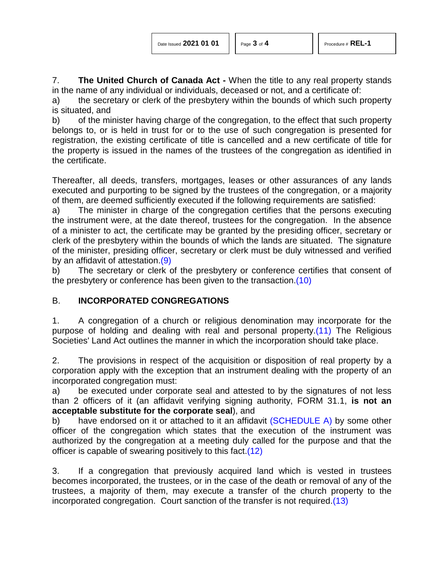7. **The United Church of Canada Act -** When the title to any real property stands in the name of any individual or individuals, deceased or not, and a certificate of:

a) the secretary or clerk of the presbytery within the bounds of which such property is situated, and

b) of the minister having charge of the congregation, to the effect that such property belongs to, or is held in trust for or to the use of such congregation is presented for registration, the existing certificate of title is cancelled and a new certificate of title for the property is issued in the names of the trustees of the congregation as identified in the certificate.

Thereafter, all deeds, transfers, mortgages, leases or other assurances of any lands executed and purporting to be signed by the trustees of the congregation, or a majority of them, are deemed sufficiently executed if the following requirements are satisfied:

a) The minister in charge of the congregation certifies that the persons executing the instrument were, at the date thereof, trustees for the congregation. In the absence of a minister to act, the certificate may be granted by the presiding officer, secretary or clerk of the presbytery within the bounds of which the lands are situated. The signature of the minister, presiding officer, secretary or clerk must be duly witnessed and verified by an affidavit of attestation[.\(9\)](#page-3-8)

<span id="page-2-1"></span><span id="page-2-0"></span>b) The secretary or clerk of the presbytery or conference certifies that consent of the presbytery or conference has been given to the transaction[.\(10\)](#page-3-9)

## B. **INCORPORATED CONGREGATIONS**

<span id="page-2-2"></span>1. A congregation of a church or religious denomination may incorporate for the purpose of holding and dealing with real and personal property[.\(11\)](#page-3-10) The Religious Societies' Land Act outlines the manner in which the incorporation should take place.

2. The provisions in respect of the acquisition or disposition of real property by a corporation apply with the exception that an instrument dealing with the property of an incorporated congregation must:

a) be executed under corporate seal and attested to by the signatures of not less than 2 officers of it (an affidavit verifying signing authority, FORM 31.1, **is not an acceptable substitute for the corporate seal**), and

b) have endorsed on it or attached to it an affidavit  $(SCHEDULE A)$  by some other officer of the congregation which states that the execution of the instrument was authorized by the congregation at a meeting duly called for the purpose and that the officer is capable of swearing positively to this fact[.\(12\)](#page-3-11)

<span id="page-2-4"></span><span id="page-2-3"></span>3. If a congregation that previously acquired land which is vested in trustees becomes incorporated, the trustees, or in the case of the death or removal of any of the trustees, a majority of them, may execute a transfer of the church property to the incorporated congregation. Court sanction of the transfer is not required[.\(13\)](#page-3-12)